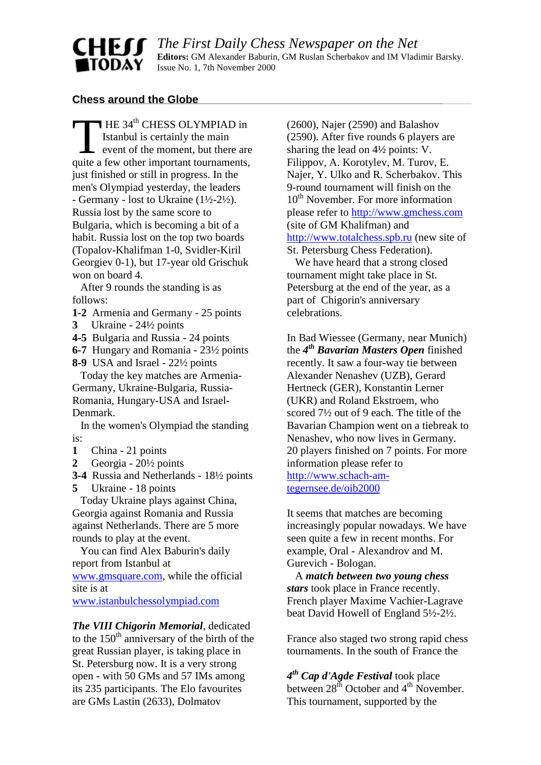# **Chess around the Globe**

**CHEU** 

TODAY

HE 34<sup>th</sup> CHESS OLYMPIAD in Istanbul is certainly the main event of the moment, but there are quite a few other important tournaments, just finished or still in progress. In the men's Olympiad yesterday, the leaders - Germany - lost to Ukraine  $(1\frac{1}{2} - 2\frac{1}{2})$ . Russia lost by the same score to Bulgaria, which is becoming a bit of a habit. Russia lost on the top two boards (Topalov-Khalifman 1-0, Svidler-Kiril Georgiev 0-1), but 17-year old Grischuk won on board 4.  $\prod$ 

 After 9 rounds the standing is as follows:

- **1-2** Armenia and Germany 25 points
- **3** Ukraine 24½ points
- **4-5** Bulgaria and Russia 24 points
- **6-7** Hungary and Romania 23½ points
- **8-9** USA and Israel 22½ points

 Today the key matches are Armenia-Germany, Ukraine-Bulgaria, Russia-Romania, Hungary-USA and Israel-Denmark.

 In the women's Olympiad the standing is:

- **1** China 21 points
- **2** Georgia 20½ points
- **3-4** Russia and Netherlands 18½ points
- **5** Ukraine 18 points

 Today Ukraine plays against China, Georgia against Romania and Russia against Netherlands. There are 5 more rounds to play at the event.

 You can find Alex Baburin's daily report from Istanbul at [www.gmsquare.com,](http://www.gmsqiuare.com/) while the official

site is at

[www.istanbulchessolympiad.com](http://www.istanbulchessolympiad.com/)

*The VIII Chigorin Memorial*, dedicated to the  $150<sup>th</sup>$  anniversary of the birth of the great Russian player, is taking place in St. Petersburg now. It is a very strong open - with 50 GMs and 57 IMs among its 235 participants. The Elo favourites are GMs Lastin (2633), Dolmatov

(2600), Najer (2590) and Balashov (2590). After five rounds 6 players are sharing th[e lead on 4½ points: V.](http://www.gmsqiuare.com/) Filippov, A. Korotylev, M. Turov, E. Najer, Y. Ulko and R. Scherbakov. This 9-round tournament will finish on the 10<sup>th</sup> November. For more information please refer to http://www.gmchess.com (site of GM Khalifman) and http://www.totalchess.spb.ru (new site of St. Petersburg Chess Federation).

 We have heard that a strong closed tournament might take place in St. Petersburg at the end of the year, as a part of Chigorin's anniversary celebrations.

In Bad Wiessee (Germany, near Munich) the *4th Bavarian Masters Open* finished recently. It saw a four-way tie between Alexander Nenashev (UZB), Gerard Hertneck (GER), Konstantin Lerner (UKR) and Roland Ekstroem, who scored 7½ out of 9 each. The title of the Bavarian Champion went on a tiebreak to Nenashev, who now lives in Germany. 20 players finished on 7 points. For more information please refer to http://www.schach-amtegernsee.de/oib2000

It seems that matches are becoming increasingly popular nowadays. We have seen quite a few in recent months. For example, Oral - Alexandrov and M. Gurevich - Bologan.

 A *match between two young chess stars* took place in France recently. French player Maxime Vachier-Lagrave beat David Howell of England 5½-2½.

France also staged two strong rapid chess tournaments. In the south of France the

*4th Cap d'Agde Festival* took place between  $28<sup>th</sup>$  October and  $4<sup>th</sup>$  November. This tournament, supported by the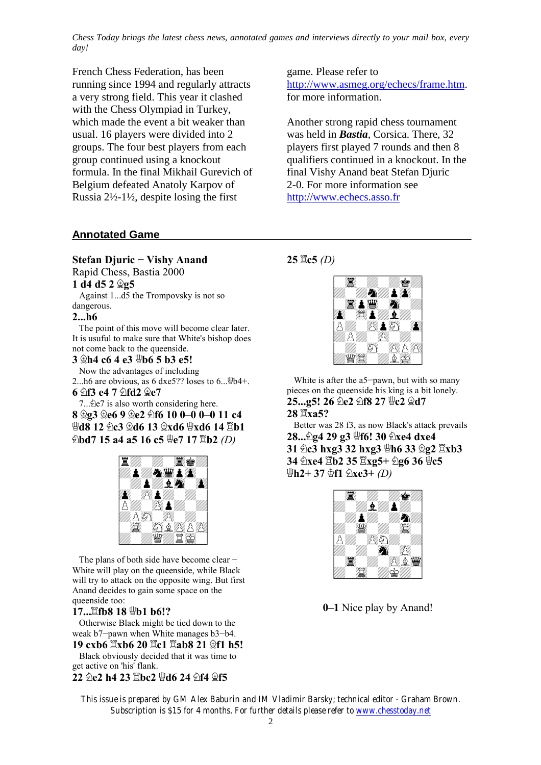*Chess Today brings the latest chess news, annotated games and interviews directly to your mail box, every day!*

French Chess Federation, has been running since 1994 and regularly attracts a very strong field. This year it clashed with the Chess Olympiad in Turkey, which made the event a bit weaker than usual. 16 players were divided into 2 groups. The four best players from each group continued using a knockout formula. In the final Mikhail Gurevich of Belgium defeated Anatoly Karpov of Russia 2½-1½, despite losing the first

# **Annotated Game**

#### **Stefan Djuric - Vishy Anand**

Rapid Chess, Bastia 2000

**1 d4 d5 2 ¥g5**

 Against 1...d5 the Trompovsky is not so dangerous.

#### **2...h6**

 The point of this move will become clear later. It is usuful to make sure that White's bishop does not come back to the queenside.

**3 ¥h4 c6 4 e3 £b6 5 b3 e5!**

Now the advantages of including

2...h6 are obvious, as 6 dxe5?? loses to  $6 \ldots \text{W} 4+$ .

**6 ¤f3 e4 7 ¤fd2 ¥e7**

7... the 7 is also worth considering here. **8 ¥g3 ¥e6 9 ¥e2 ¤f6 10 0—0 0—0 11 c4 £d8 12 ¤c3 ¥d6 13 ¥xd6 £xd6 14 ¦b1 ∂bd7 15 a4 a5 16 c5**  $\frac{10}{2}$ **e7 17**  $\frac{20}{2}$ **b2** *(D)* 



The plans of both side have become clear  $-$ White will play on the queenside, while Black will try to attack on the opposite wing. But first Anand decides to gain some space on the queenside too:

# 17... **Lifb8** 18 *\bell* b6!?

 Otherwise Black might be tied down to the weak b7-pawn when White manages b3-b4.

**19 cxb6**  $\mathbb{Z}$ **xb6 20**  $\mathbb{Z}$ **c1**  $\mathbb{Z}$ **ab8 21**  $\mathbb{Q}$ **f1 h5!**  Black obviously decided that it was time to get active on 'his' flank.

### **22 ¤e2 h4 23 ¦bc2 £d6 24 ¤f4 ¥f5**

game. Please refer to http://www.asmeg.org/echecs/frame.htm. for more information.

Another strong rapid chess tournament was held in *Bastia*, Corsica. There, 32 players first played 7 rounds and then 8 qualifiers continued in a knockout. In the final Vishy Anand beat Stefan Djuric 2-0. For more information see [http://www.echecs.asso.fr](http://www.echecs.asso.fr/)

# **25 ¦c5** *(D)*



 White is after the a5-pawn, but with so many pieces on the queenside his king is a bit lonely. **25...g5! 26 包e2 包f8 27 世c2 Qd7** 

**28 ¦xa5?**

 Better was 28 f3, as now Black's attack prevails **28...¤g4 29 g3 £f6! 30 ¤xe4 dxe4 31 2c3 hxg3 32 hxg3**  $\overline{\mathbf{\Psi}}$ **h6 33**  $\hat{\mathbf{\Sigma}}$ **g2**  $\overline{\mathbf{\Sigma}}$ **xb3 34 ②xe4 骂b2 35 骂xg5+ ②g6 36 粤c5 £h2+ 37 ¢f1 ¤xe3+** *(D)*



**0—1** Nice play by Anand!

*This issue is prepared by GM Alex Baburin and IM Vladimir Barsky; technical editor - Graham Brown. Subscription is \$15 for 4 months. For further details please refer to www.chesstoday.net*